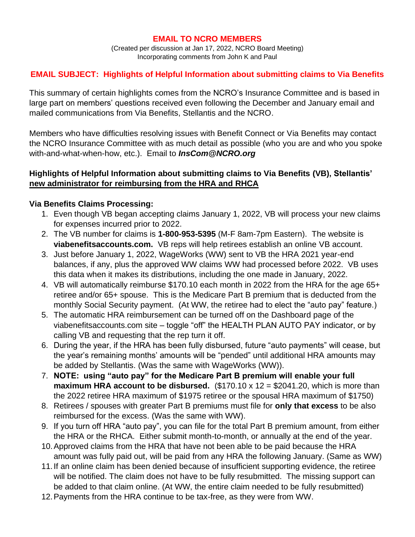#### **EMAIL TO NCRO MEMBERS**

(Created per discussion at Jan 17, 2022, NCRO Board Meeting) Incorporating comments from John K and Paul

# **EMAIL SUBJECT: Highlights of Helpful Information about submitting claims to Via Benefits**

This summary of certain highlights comes from the NCRO's Insurance Committee and is based in large part on members' questions received even following the December and January email and mailed communications from Via Benefits, Stellantis and the NCRO.

Members who have difficulties resolving issues with Benefit Connect or Via Benefits may contact the NCRO Insurance Committee with as much detail as possible (who you are and who you spoke with-and-what-when-how, etc.). Email to *InsCom@NCRO.org*

### **Highlights of Helpful Information about submitting claims to Via Benefits (VB), Stellantis' new administrator for reimbursing from the HRA and RHCA**

#### **Via Benefits Claims Processing:**

- 1. Even though VB began accepting claims January 1, 2022, VB will process your new claims for expenses incurred prior to 2022.
- 2. The VB number for claims is **1-800-953-5395** (M-F 8am-7pm Eastern). The website is **viabenefitsaccounts.com.** VB reps will help retirees establish an online VB account.
- 3. Just before January 1, 2022, WageWorks (WW) sent to VB the HRA 2021 year-end balances, if any, plus the approved WW claims WW had processed before 2022. VB uses this data when it makes its distributions, including the one made in January, 2022.
- 4. VB will automatically reimburse \$170.10 each month in 2022 from the HRA for the age 65+ retiree and/or 65+ spouse. This is the Medicare Part B premium that is deducted from the monthly Social Security payment. (At WW, the retiree had to elect the "auto pay" feature.)
- 5. The automatic HRA reimbursement can be turned off on the Dashboard page of the viabenefitsaccounts.com site – toggle "off" the HEALTH PLAN AUTO PAY indicator, or by calling VB and requesting that the rep turn it off.
- 6. During the year, if the HRA has been fully disbursed, future "auto payments" will cease, but the year's remaining months' amounts will be "pended" until additional HRA amounts may be added by Stellantis. (Was the same with WageWorks (WW)).
- 7. **NOTE: using "auto pay" for the Medicare Part B premium will enable your full maximum HRA account to be disbursed.** (\$170.10 x 12 = \$2041.20, which is more than the 2022 retiree HRA maximum of \$1975 retiree or the spousal HRA maximum of \$1750)
- 8. Retirees / spouses with greater Part B premiums must file for **only that excess** to be also reimbursed for the excess. (Was the same with WW).
- 9. If you turn off HRA "auto pay", you can file for the total Part B premium amount, from either the HRA or the RHCA. Either submit month-to-month, or annually at the end of the year.
- 10.Approved claims from the HRA that have not been able to be paid because the HRA amount was fully paid out, will be paid from any HRA the following January. (Same as WW)
- 11.If an online claim has been denied because of insufficient supporting evidence, the retiree will be notified. The claim does not have to be fully resubmitted. The missing support can be added to that claim online. (At WW, the entire claim needed to be fully resubmitted)
- 12.Payments from the HRA continue to be tax-free, as they were from WW.